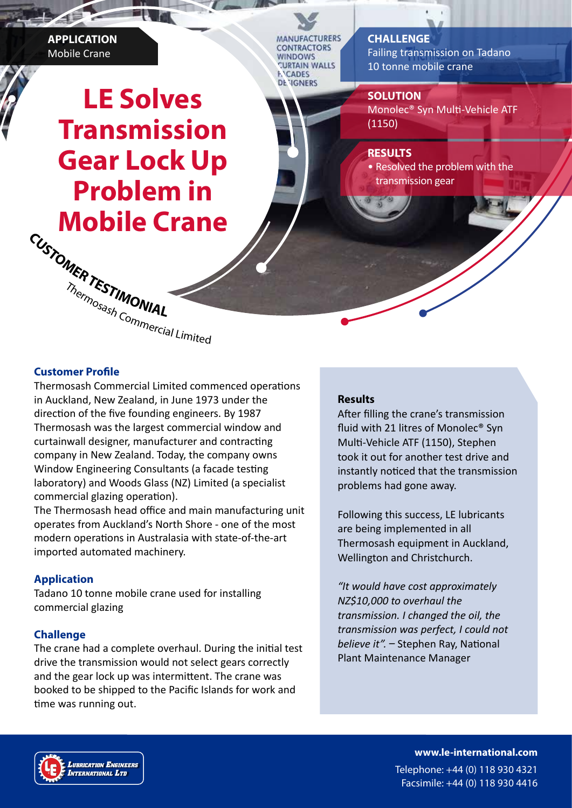**APPLICATION** Mobile Crane

**LE Solves Transmission Gear Lock Up Problem in Mobile Crane <sup>C</sup>USTOMERTESTIMONIA<sup>L</sup>**

**MANUFACTURERS ONTRACTORS** VINDOWS **TURTAIN WALLS CADES DENGNERS** 

# **CHALLENGE**

Failing transmission on Tadano 10 tonne mobile crane

#### **SOLUTION**

Monolec® Syn Multi-Vehicle ATF (1150)

#### **RESULTS**

• Resolved the problem with the transmission gear

Thermosash Commercial Limited

## **Customer Profile**

Thermosash Commercial Limited commenced operations in Auckland, New Zealand, in June 1973 under the direction of the five founding engineers. By 1987 Thermosash was the largest commercial window and curtainwall designer, manufacturer and contracting company in New Zealand. Today, the company owns Window Engineering Consultants (a facade testing laboratory) and Woods Glass (NZ) Limited (a specialist commercial glazing operation).

The Thermosash head office and main manufacturing unit operates from Auckland's North Shore - one of the most modern operations in Australasia with state-of-the-art imported automated machinery.

## **Application**

Tadano 10 tonne mobile crane used for installing commercial glazing

## **Challenge**

The crane had a complete overhaul. During the initial test drive the transmission would not select gears correctly and the gear lock up was intermittent. The crane was booked to be shipped to the Pacific Islands for work and time was running out.

## **Results**

After filling the crane's transmission fluid with 21 litres of Monolec® Syn Multi-Vehicle ATF (1150), Stephen took it out for another test drive and instantly noticed that the transmission problems had gone away.

Following this success, LE lubricants are being implemented in all Thermosash equipment in Auckland, Wellington and Christchurch.

*"It would have cost approximately NZ\$10,000 to overhaul the transmission. I changed the oil, the transmission was perfect, I could not believe it".* – Stephen Ray, National Plant Maintenance Manager



**www.le-international.com** Telephone: +44 (0) 118 930 4321 Facsimile: +44 (0) 118 930 4416